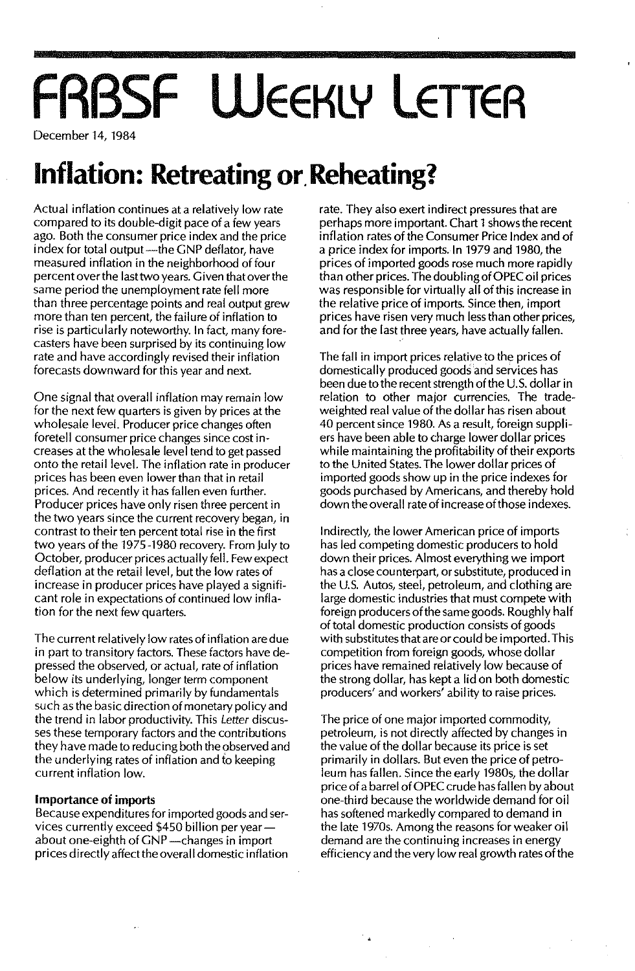# **FRBSF WEEKLY LETTER**

December 14, 1984

## **Inflation: Retreating or,Reheating?**

Actual inflation continues at a relatively low rate compared to its double-digit pace of a few years ago. Both the consumer price index and the price index for total output—the GNP deflator, have measured inflation in the neighborhood of four percent over the lasttwo years. Given that overthe same period the unemployment rate fell more than three percentage points and real output grew more than ten percent, the failure of inflation to rise is particularly noteworthy. In fact, many forecasters have been surprised by its continuing low rate and have accordingly revised their inflation forecasts downward for this year and next.

One signal that overall inflation may remain low for the next few quarters is given by prices at the wholesale level. Producer price changes often foretell consumer price changes since cost increases at the wholesale level tend to get passed onto the retail level. The inflation rate in producer prices has been even lower than that in retail prices. And recently it has fallen even further. Producer prices have only risen three percent in the two years since the current recovery began, in contrast to their ten percent total rise in the first two years of the 1975 -1980 recovery. From July to October, producer prices actually fell. Few expect deflation at the retail level, but the low rates of increase in producer prices have played a significant role in expectations of continued low inflation for the next few quarters.

The current relatively low rates of inflation are due in part to transitory factors. These factors have depressed the observed, or actual, rate of inflation below its underlying, longer term component which is determined primarily by fundamentals such as the basic direction of monetary policy and the trend in labor productivity. This Letter discusses these temporary factors and the contributions they have made to reducing both the observed and the underlying rates of inflation and to keeping current inflation low.

#### Importance of imports

Because expenditures for imported goods and services currently exceed \$450 billion per yearabout one-eighth of GNP--changes in import prices directly affectthe overall domestic inflation

rate. They also exert indirect pressures that are perhaps more important. Chart 1shows the recent inflation rates of the Consumer Price Index and of a price index for imports. In 1979 and 1980, the prices of imported goods rose much more rapidly than other prices. The doublingofOPEC oil prices was responsible for virtually all of this increase in the relative price of imports. Since then, import prices have risen very much less than other prices, and for the last three years, have actually fallen.

The fall in import prices relative to the prices of domestically produced goods'and services has been due to the recent strength of the U.S. dollar in relation to other major currencies. The tradeweighted real value of the dollar has risen about 40 percent since 1980. As a result, foreign suppliers have been able to charge lower dollar prices while maintaining the profitability of their exports to the United States. The lower dollar prices of imported goods show up in the price indexes for goods purchased by Americans, and thereby hold down the overall rate of increase of those indexes.

Indirectly, the lower American price of imports has led competing domestic producers to hold down their prices. Almost everything we import has a close counterpart, or substitute, produced in the U.S. Autos, steel, petroleum, and clothing are large domestic industries that must compete with foreign producers of the same goods. Roughly half of total domestic production consists of goods with substitutes that are or could be imported. This competition from foreign goods, whose dollar prices have remained relatively low because of the strong dollar, has kept a lid on both domestic producers' and workers' ability to raise prices.

The price of one major imported commodity, petroleum, is not directly affected by changes in the value of the dollar because its price is set primarily in dollars. But even the price of petroleum has fallen. Since the early 1980s, the dollar price of a barrel of OPEC crude has fallen by about one-third because the worldwide demand for oi I has softened markedly compared to demand in the late 1970s. Among the reasons for weaker oil demand are the continuing increases in energy efficiency and the very low real growth rates of the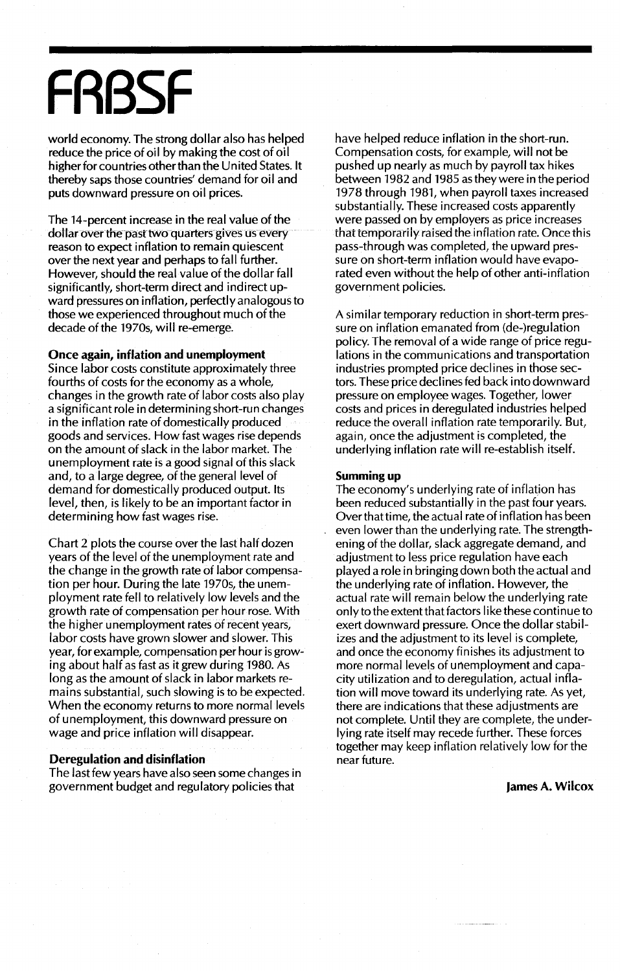## **FRBSF**

world economy. The strong dollar also has helped reduce the price of oil by making the cost of oil higher for countries other than the United States. It thereby saps those countries' demand for oil and puts downward pressure on oil prices.

The 14-percent increase in the real value of the dollar over the past two quarters gives us every reason to expect inflation to remain quiescent over the next year and perhaps to fall further. However, should the real value of the dollar fall significantly, short-term direct and indirect upward pressures on inflation, perfectly analogous to those we experienced throughout much of the decade of the 1970s, will re-emerge.

#### Once again, inflation and unemployment

Since labor costs constitute approximately three fourths of costs for the economy as a whole, changes in the growth rate of labor costs also play a significant role in determining short-run changes in the inflation rate of domestically produced goods and services. How fast wages rise depends on the amount of slack in the labor market. The unemployment rate is a good signal of this slack and, to a large degree, of the general level of demand for domestically produced output. Its level, then, is likely to be an important factor in determining how fast wages rise.

Chart 2 plots the course over the last half dozen years of the level of the unemployment rate and the change in the growth rate of labor compensation per hour. During the late 1970s, the unemployment rate fell to relatively low levels and the growth rate of compensation per hour rose. With the higher unemployment rates of recent years, labor costs have grown slower and slower. This year, for example, compensation per hour is growing about half as fast as it grew during 1980. As long as the amount of slack in labor markets remains substantial, such slowing is to be expected. When the economy returns to more normal levels of unemployment, this downward pressure on wage and price inflation will disappear.

#### Deregulation and disinflation

The last few years have also seen some changes in government budget and regulatory policies that

have helped reduce inflation in the short-run. Compensation costs, for example, will not be pushed up nearly as much by payroll tax hikes between 1982 and 1985 as they were in the period 1978 through 1981, when payroll taxes increased substantially. These increased costs apparently were passed on by employers as price increases that temporarily raised the inflation rate. Once this pass-through was completed, the upward pressure on short-term inflation would have evaporated even without the help of other anti-inflation government policies.

A similar temporary reduction in short-term pressure on inflation emanated from (de-)regulation policy. The removal of a wide range of price regulations in the communications and transportation industries prompted price declines in those sectors. These price declines fed back into downward pressure on employee wages. Together, lower costs and prices in deregulated industries helped reduce the overall inflation rate temporarily. But, again, once the adjustment is completed, the underlying inflation rate will re-establish itself.

#### Summing up

The economy's underlying rate of inflation has been reduced substantially in the past four years. Over that time, the actual rate of inflation has been even lower than the underlying rate. The strengthening of the dollar, slack aggregate demand, and adjustment to less price regulation have each played a role in bringing down both the actual and the underlying rate of inflation. However, the actual rate will remain below the underlying rate only to the extent that factors like these continue to exert downward pressure. Once the dollar stabilizes and the adjustment to its level is complete, and once the economy finishes its adjustment to more normal levels of unemployment and capacity utilization and to deregulation, actual inflation will move toward its underlying rate. As yet, there are indications that these adjustments are not complete. Until they are complete, the underlying rate itself may recede further. These forces together may keep inflation relatively low for the near future.

#### James A. Wilcox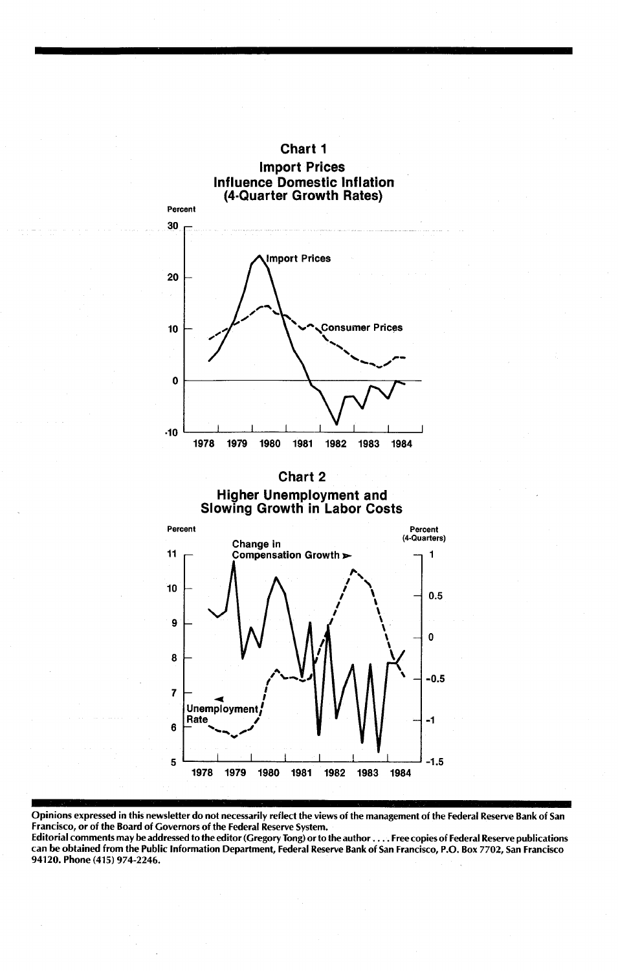

### Higher Unemployment and Slowing Growth in Labor Costs



Opinions expressed in this newsletter do not necessarily reflect the views of the management of the Federal Reserve Bank of San Francisco, or of the Board of Governors of the Federal Reserve System.

Editorial comments may be addressed to the editor (Gregory Tong) orto the author .... Free copies of Federal Reserve publications can be obtained from the Public Information Department, Federal Reserve Bank of San Francisco, P.O. Box 7702, San Francisco 94120. Phone (415) 974-2246.